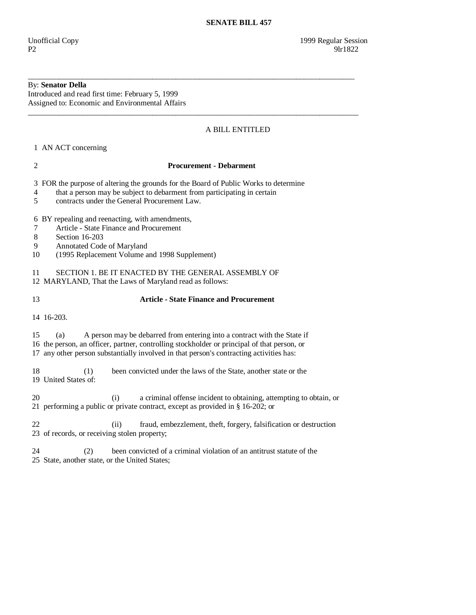## By: **Senator Della**

Introduced and read first time: February 5, 1999 Assigned to: Economic and Environmental Affairs

# A BILL ENTITLED

1 AN ACT concerning

#### 2 **Procurement - Debarment**

\_\_\_\_\_\_\_\_\_\_\_\_\_\_\_\_\_\_\_\_\_\_\_\_\_\_\_\_\_\_\_\_\_\_\_\_\_\_\_\_\_\_\_\_\_\_\_\_\_\_\_\_\_\_\_\_\_\_\_\_\_\_\_\_\_\_\_\_\_\_\_\_\_\_\_\_\_\_\_\_\_\_\_\_

\_\_\_\_\_\_\_\_\_\_\_\_\_\_\_\_\_\_\_\_\_\_\_\_\_\_\_\_\_\_\_\_\_\_\_\_\_\_\_\_\_\_\_\_\_\_\_\_\_\_\_\_\_\_\_\_\_\_\_\_\_\_\_\_\_\_\_\_\_\_\_\_\_\_\_\_\_\_\_\_\_\_\_\_\_

3 FOR the purpose of altering the grounds for the Board of Public Works to determine

4 that a person may be subject to debarment from participating in certain

5 contracts under the General Procurement Law.

## 6 BY repealing and reenacting, with amendments,

- 7 Article State Finance and Procurement
- 8 Section 16-203
- 9 Annotated Code of Maryland
- 10 (1995 Replacement Volume and 1998 Supplement)

11 SECTION 1. BE IT ENACTED BY THE GENERAL ASSEMBLY OF

12 MARYLAND, That the Laws of Maryland read as follows:

## 13 **Article - State Finance and Procurement**

14 16-203.

 15 (a) A person may be debarred from entering into a contract with the State if 16 the person, an officer, partner, controlling stockholder or principal of that person, or 17 any other person substantially involved in that person's contracting activities has:

 18 (1) been convicted under the laws of the State, another state or the 19 United States of:

 20 (i) a criminal offense incident to obtaining, attempting to obtain, or 21 performing a public or private contract, except as provided in § 16-202; or

 22 (ii) fraud, embezzlement, theft, forgery, falsification or destruction 23 of records, or receiving stolen property;

 24 (2) been convicted of a criminal violation of an antitrust statute of the 25 State, another state, or the United States;